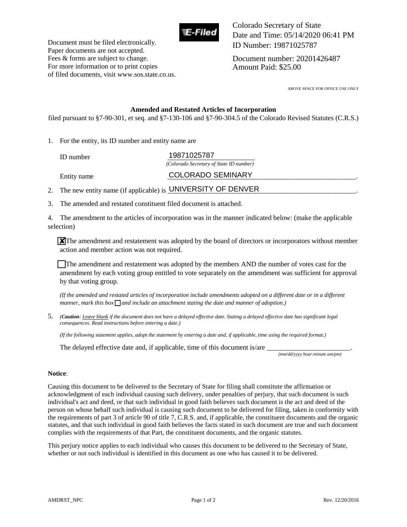

Document must be filed electronically. Paper documents are not accepted. Fees & forms are subject to change. For more information or to print copies of filed documents, visit www.sos.state.co.us. Colorado Secretary of State Date and Time: 05/14/2020 06:41 PM ID Number: 19871025787

Document number: 20201426487 Amount Paid: \$25.00

ABOVE SPACE FOR OFFICE USE ONLY

## **Amended and Restated Articles of Incorporation**

filed pursuant to §7-90-301, et seq. and §7-130-106 and §7-90-304.5 of the Colorado Revised Statutes (C.R.S.)

1. For the entity, its ID number and entity name are

ID number **19871025787** *(Colorado Secretary of State ID number)*

Entity name **COLORADO SEMINARY** 

2. The new entity name (if applicable) is **UNIVERSITY OF DENVER** 

3. The amended and restated constituent filed document is attached.

4. The amendment to the articles of incorporation was in the manner indicated below: (make the applicable selection)

X The amendment and restatement was adopted by the board of directors or incorporators without member action and member action was not required.

The amendment and restatement was adopted by the members AND the number of votes cast for the amendment by each voting group entitled to vote separately on the amendment was sufficient for approval by that voting group.

*(If the amended and restated articles of incorporation include amendments adopted on a different date or in a different*   $m$ anner, mark this box  $\Box$  and include an attachment stating the date and manner of adoption.)

5. *(Caution: Leave blank if the document does not have a delayed effective date. Stating a delayed effective date has significant legal consequences. Read instructions before entering a date.)* 

*(If the following statement applies, adopt the statement by entering a date and, if applicable, time using the required format.)* 

The delayed effective date and, if applicable, time of this document is/are \_

 *(mm/dd/yyyy hour:minute am/pm)* 

## **Notice**:

Causing this document to be delivered to the Secretary of State for filing shall constitute the affirmation or acknowledgment of each individual causing such delivery, under penalties of perjury, that such document is such individual's act and deed, or that such individual in good faith believes such document is the act and deed of the person on whose behalf such individual is causing such document to be delivered for filing, taken in conformity with the requirements of part 3 of article 90 of title 7, C.R.S. and, if applicable, the constituent documents and the organic statutes, and that such individual in good faith believes the facts stated in such document are true and such document complies with the requirements of that Part, the constituent documents, and the organic statutes.

This perjury notice applies to each individual who causes this document to be delivered to the Secretary of State, whether or not such individual is identified in this document as one who has caused it to be delivered.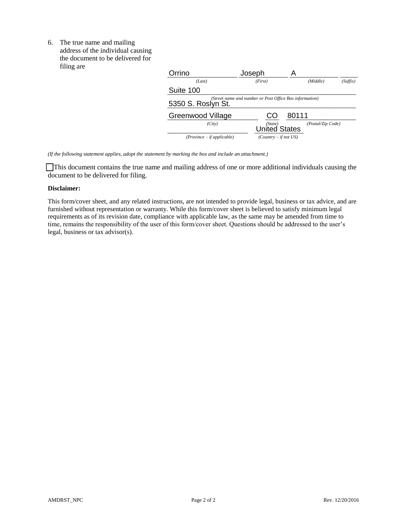6. The true name and mailing address of the individual causing the document to be delivered for filing are

| THING are | Orrino                                                                        | Joseph                          |                         |                   |
|-----------|-------------------------------------------------------------------------------|---------------------------------|-------------------------|-------------------|
|           | (Last)                                                                        | (First)                         | (Middle)                | (Suffix)          |
|           | Suite 100                                                                     |                                 |                         |                   |
|           | (Street name and number or Post Office Box information)<br>5350 S. Roslyn St. |                                 |                         |                   |
|           | Greenwood Village                                                             | CO                              | 80111                   |                   |
|           | (City)                                                                        | (State)<br><b>United States</b> |                         | (Postal/Zip Code) |
|           | $(Province - if applicable)$                                                  |                                 | $(Country - if not US)$ |                   |

*(If the following statement applies, adopt the statement by marking the box and include an attachment.)* 

 This document contains the true name and mailing address of one or more additional individuals causing the document to be delivered for filing.

## **Disclaimer:**

This form/cover sheet, and any related instructions, are not intended to provide legal, business or tax advice, and are furnished without representation or warranty. While this form/cover sheet is believed to satisfy minimum legal requirements as of its revision date, compliance with applicable law, as the same may be amended from time to time, remains the responsibility of the user of this form/cover sheet. Questions should be addressed to the user's legal, business or tax advisor(s).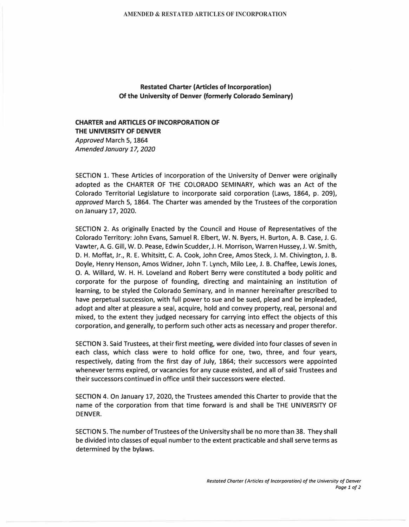**Restated Charter (Articles of Incorporation) Of the University of Denver (formerly Colorado Seminary)** 

**CHARTER and ARTICLES OF INCORPORATION OF THE UNIVERSITY OF DENVER**  *Approved* March 5, 1864 *Amended January 17, 2020* 

SECTION 1. These Articles of Incorporation of the University of Denver were originally adopted as the CHARTER OF THE COLORADO SEMINARY, which was an Act of the Colorado Territorial Legislature to incorporate said corporation (Laws, 1864, p. 209), *approved* March 5, 1864. The Charter was amended by the Trustees of the corporation on January 17, 2020.

SECTION 2. As originally Enacted by the Council and House of Representatives of the Colorado Territory: John Evans, Samuel R. Elbert, W. N. Byers, H. Burton, A. B. Case, J. G. Vawter, A.G. Gill, W. D. Pease, Edwin Scudder, J. H. Morrison, Warren Hussey, J. W. Smith, D. H. Moffat, Jr., R. E. Whitsitt, C. A. Cook, John Cree, Amos Steck, J. M. Chivington, J. B. Doyle, Henry Henson, Amos Widner, John T. Lynch, Milo Lee, J. B. Chaffee, Lewis Jones, 0. A. Willard, W. H. H. Loveland and Robert Berry were constituted a body politic and corporate for the purpose of founding, directing and maintaining an institution of learning, to be styled the Colorado Seminary, and in manner hereinafter prescribed to have perpetual succession, with full power to sue and be sued, plead and be impleaded, adopt and alter at pleasure a seal, acquire, hold and convey property, real, personal and mixed, to the extent they judged necessary for carrying into effect the objects of this corporation, and generally, to perform such other acts as necessary and proper therefor.

SECTION 3. Said Trustees, at their first meeting, were divided into four classes of seven in each class, which class were to hold office for one, two, three, and four years, respectively, dating from the first day of July, 1864; their successors were appointed whenever terms expired, or vacancies for any cause existed, and all of said Trustees and their successors continued in office until their successors were elected.

SECTION 4. On January 17, 2020, the Trustees amended this Charter to provide that the name of the corporation from that time forward is and shall be THE UNIVERSITY OF DENVER.

SECTION 5. The number of Trustees of the University shall be no more than 38. They shall be divided into classes of equal number to the extent practicable and shall serve terms as determined by the bylaws.